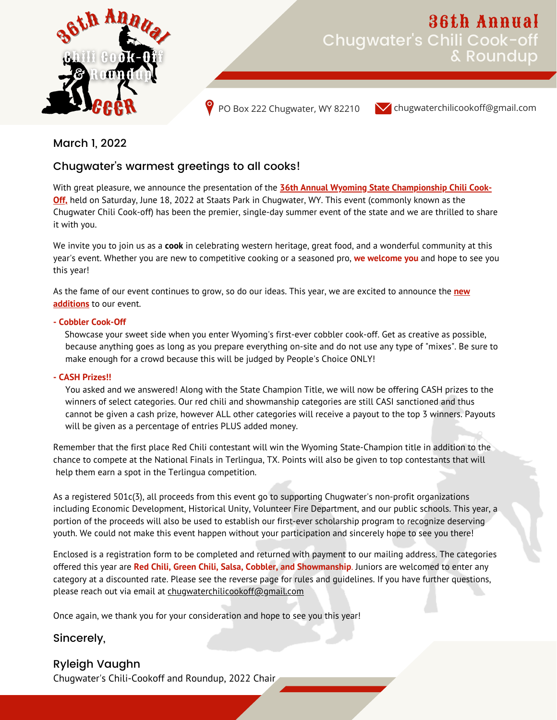

# Chugwater's Chili Cook-off & Roundup 36th Annual

PO Box 222 Chugwater, WY 82210

chugwaterchilicookoff@gmail.com

March 1, 2022

### Chugwater's warmest greetings to all cooks!

With great pleasure, we announce the presentation of the **36th Annual Wyoming State Championship Chili Cook-Off,** held on Saturday, June 18, 2022 at Staats Park in Chugwater, WY. This event (commonly known as the Chugwater Chili Cook-off) has been the premier, single-day summer event of the state and we are thrilled to share it with you.

We invite you to join us as a **cook** in celebrating western heritage, great food, and a wonderful community at this year's event. Whether you are new to competitive cooking or a seasoned pro, **we welcome you** and hope to see you this year!

As the fame of our event continues to grow, so do our ideas. This year, we are excited to announce the **new additions** to our event.

### **- Cobbler Cook-Off**

Showcase your sweet side when you enter Wyoming's first-ever cobbler cook-off. Get as creative as possible, because anything goes as long as you prepare everything on-site and do not use any type of "mixes". Be sure to make enough for a crowd because this will be judged by People's Choice ONLY!

### **- CASH Prizes!!**

You asked and we answered! Along with the State Champion Title, we will now be offering CASH prizes to the winners of select categories. Our red chili and showmanship categories are still CASI sanctioned and thus cannot be given a cash prize, however ALL other categories will receive a payout to the top 3 winners. Payouts will be given as a percentage of entries PLUS added money.

Remember that the first place Red Chili contestant will win the Wyoming State-Champion title in addition to the chance to compete at the National Finals in Terlingua, TX. Points will also be given to top contestants that will help them earn a spot in the Terlingua competition.

As a registered 501c(3), all proceeds from this event go to supporting Chugwater's non-profit organizations including Economic Development, Historical Unity, Volunteer Fire Department, and our public schools. This year, a portion of the proceeds will also be used to establish our first-ever scholarship program to recognize deserving youth. We could not make this event happen without your participation and sincerely hope to see you there!

Enclosed is a registration form to be completed and returned with payment to our mailing address. The categories offered this year are **Red Chili, Green Chili, Salsa, Cobbler, and Showmanship**. Juniors are welcomed to enter any category at a discounted rate. Please see the reverse page for rules and guidelines. If you have further questions, please reach out via email at chugwaterchilicookoff@gmail.com

Once again, we thank you for your consideration and hope to see you this year!

### Sincerely,

### Ryleigh Vaughn

Chugwater's Chili-Cookoff and Roundup, 2022 Chair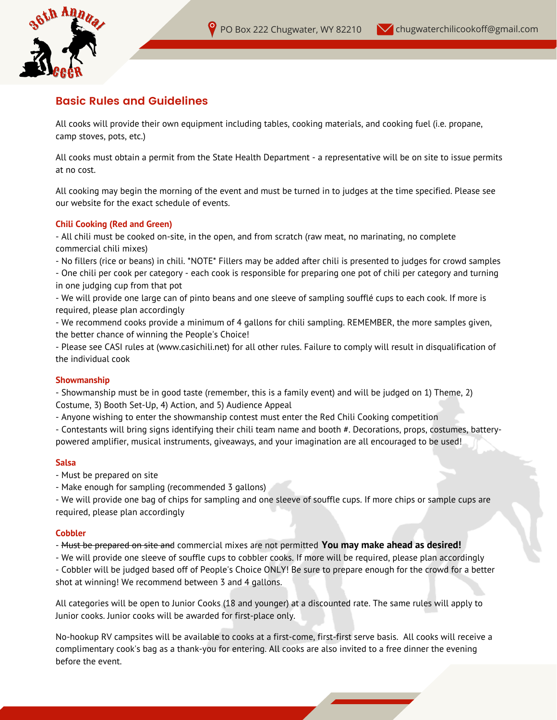

### **Basic Rules and Guidelines**

All cooks will provide their own equipment including tables, cooking materials, and cooking fuel (i.e. propane, camp stoves, pots, etc.)

All cooks must obtain a permit from the State Health Department - a representative will be on site to issue permits at no cost.

All cooking may begin the morning of the event and must be turned in to judges at the time specified. Please see our website for the exact schedule of events.

#### **Chili Cooking (Red and Green)**

- All chili must be cooked on-site, in the open, and from scratch (raw meat, no marinating, no complete commercial chili mixes)

- No fillers (rice or beans) in chili. \*NOTE\* Fillers may be added after chili is presented to judges for crowd samples

- One chili per cook per category - each cook is responsible for preparing one pot of chili per category and turning in one judging cup from that pot

- We will provide one large can of pinto beans and one sleeve of sampling soufflé cups to each cook. If more is required, please plan accordingly

- We recommend cooks provide a minimum of 4 gallons for chili sampling. REMEMBER, the more samples given, the better chance of winning the People's Choice!

- Please see CASI rules at (www.casichili.net) for all other rules. Failure to comply will result in disqualification of the individual cook

### **Showmanship**

- Showmanship must be in good taste (remember, this is a family event) and will be judged on 1) Theme, 2) Costume, 3) Booth Set-Up, 4) Action, and 5) Audience Appeal

- Anyone wishing to enter the showmanship contest must enter the Red Chili Cooking competition

- Contestants will bring signs identifying their chili team name and booth #. Decorations, props, costumes, batterypowered amplifier, musical instruments, giveaways, and your imagination are all encouraged to be used!

### **Salsa**

- Must be prepared on site
- Make enough for sampling (recommended 3 gallons)

- We will provide one bag of chips for sampling and one sleeve of souffle cups. If more chips or sample cups are required, please plan accordingly

#### **Cobbler**

- Must be prepared on site and commercial mixes are not permitted **You may make ahead as desired!**

- We will provide one sleeve of souffle cups to cobbler cooks. If more will be required, please plan accordingly - Cobbler will be judged based off of People's Choice ONLY! Be sure to prepare enough for the crowd for a better shot at winning! We recommend between 3 and 4 gallons.

All categories will be open to Junior Cooks (18 and younger) at a discounted rate. The same rules will apply to Junior cooks. Junior cooks will be awarded for first-place only.

No-hookup RV campsites will be available to cooks at a first-come, first-first serve basis. All cooks will receive a complimentary cook's bag as a thank-you for entering. All cooks are also invited to a free dinner the evening before the event.